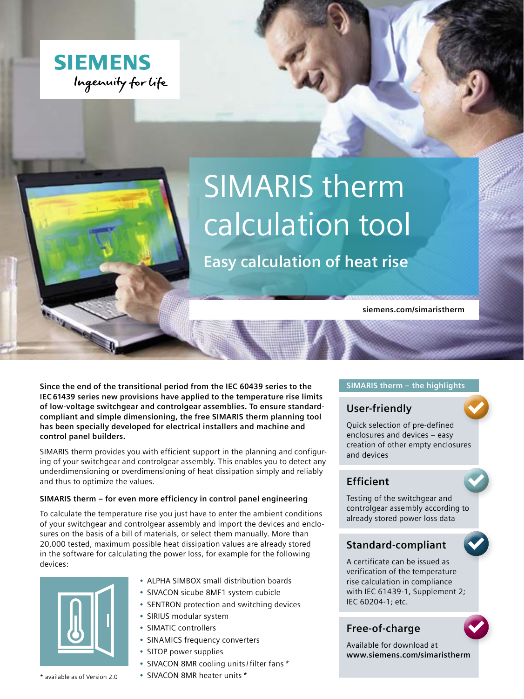

# SIMARIS therm calculation tool

**Easy calculation of heat rise**

**siemens.com/simaristherm**

**Since the end of the transitional period from the IEC 60439 series to the IEC 61439 series new provisions have applied to the temperature rise limits of low-voltage switchgear and controlgear assemblies. To ensure standardcompliant and simple dimensioning, the free SIMARIS therm planning tool has been specially developed for electrical installers and machine and control panel builders.**

SIMARIS therm provides you with efficient support in the planning and configuring of your switchgear and controlgear assembly. This enables you to detect any underdimensioning or overdimensioning of heat dissipation simply and reliably and thus to optimize the values.

#### **SIMARIS therm – for even more efficiency in control panel engineering**

To calculate the temperature rise you just have to enter the ambient conditions of your switchgear and controlgear assembly and import the devices and enclosures on the basis of a bill of materials, or select them manually. More than 20,000 tested, maximum possible heat dissipation values are already stored in the software for calculating the power loss, for example for the following devices:



- ALPHA SIMBOX small distribution boards
- SIVACON sicube 8MF1 system cubicle
- SENTRON protection and switching devices
- SIRIUS modular system
- SIMATIC controllers
- SINAMICS frequency converters
- SITOP power supplies
- SIVACON 8MR cooling units /filter fans \*
- SIVACON 8MR heater units \*

#### **SIMARIS therm – the highlights**

## **User-friendly**

Quick selection of pre-defined enclosures and devices – easy creation of other empty enclosures and devices

# **Efficient**

Testing of the switchgear and controlgear assembly according to already stored power loss data

# **Standard-compliant**

A certificate can be issued as verification of the temperature rise calculation in compliance with IEC 61439-1, Supplement 2; IEC 60204-1; etc.

# **Free-of-charge**

Available for download at **www.siemens.com/simaristherm**